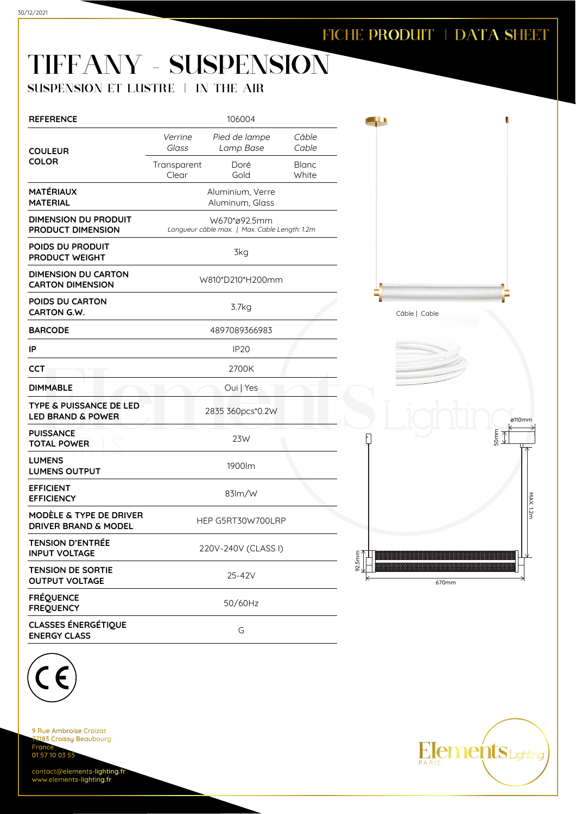41

### TIFFANY - SUSPENSION

#### SUSPENSION ET LUSTRE | IN THE AIR

| <b>REFERENCE</b>                                                   | 106004                                                        |                            |                       |  |  |
|--------------------------------------------------------------------|---------------------------------------------------------------|----------------------------|-----------------------|--|--|
| <b>COULEUR</b>                                                     | Verrine<br>Glass                                              | Pied de lampe<br>Lamp Base | Câble<br>Cable        |  |  |
| <b>COLOR</b>                                                       | Transparent<br>Clear                                          | Doré<br>Gold               | <b>Blanc</b><br>White |  |  |
| <b>MATÉRIAUX</b><br><b>MATERIAL</b>                                | Aluminium, Verre<br>Aluminum, Glass                           |                            |                       |  |  |
| DIMENSION DU PRODUIT<br>PRODUCT DIMENSION                          | W670*ø92.5mm<br>Longueur câble max.   Max. Cable Length: 1.2m |                            |                       |  |  |
| POIDS DU PRODUIT<br>PRODUCT WEIGHT                                 | 3kg                                                           |                            |                       |  |  |
| <b>DIMENSION DU CARTON</b><br><b>CARTON DIMENSION</b>              | W810*D210*H200mm                                              |                            |                       |  |  |
| POIDS DU CARTON<br><b>CARTON G.W.</b>                              | 3.7kg                                                         |                            |                       |  |  |
| <b>BARCODE</b>                                                     | 4897089366983                                                 |                            |                       |  |  |
| IP                                                                 | <b>IP20</b>                                                   |                            |                       |  |  |
| CCT                                                                | 2700K                                                         |                            |                       |  |  |
| <b>DIMMABLE</b>                                                    | Oui   Yes                                                     |                            |                       |  |  |
| <b>TYPE &amp; PUISSANCE DE LED</b><br><b>LED BRAND &amp; POWER</b> |                                                               | 2835 360pcs*0.2W           |                       |  |  |
| <b>PUISSANCE</b><br><b>TOTAL POWER</b>                             | 23W                                                           |                            |                       |  |  |
| <b>LUMENS</b><br><b>LUMENS OUTPUT</b>                              | 1900lm                                                        |                            |                       |  |  |
| <b>EFFICIENT</b><br><b>EFFICIENCY</b>                              | $83\,m/W$                                                     |                            |                       |  |  |
| MODÈLE & TYPE DE DRIVER<br><b>DRIVER BRAND &amp; MODEL</b>         | HEP G5RT30W700LRP                                             |                            |                       |  |  |
| TFNSION D'ENTRÉF<br><b>INPUT VOLTAGE</b>                           | 220V-240V (CLASS I)                                           |                            |                       |  |  |
| <b>TENSION DE SORTIE</b><br><b>OUTPUT VOLTAGE</b>                  | 25-42V                                                        |                            |                       |  |  |
| <b>FRÉQUENCE</b><br><b>FREQUENCY</b>                               | 50/60Hz                                                       |                            |                       |  |  |
| <b>CLASSES ÉNERGÉTIQUE</b><br><b>ENERGY CLASS</b>                  | G                                                             |                            |                       |  |  |







9 Rue Ambroise Croizat 183 Croissy Beaubourg Fran 01 57 10 03 55

contact@elements-lighting.fr www.elements-lighting.fr

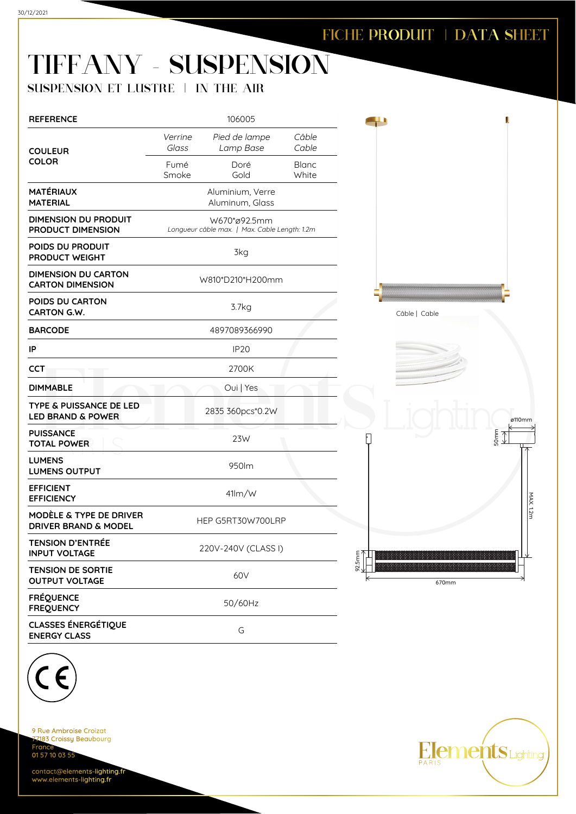# TIFFANY - SUSPENSION

### SUSPENSION ET LUSTRE | IN THE AIR

| <b>REFERENCE</b>                                                      | 106005                                                        |                            |                       |  |  |
|-----------------------------------------------------------------------|---------------------------------------------------------------|----------------------------|-----------------------|--|--|
| <b>COULEUR</b>                                                        | Verrine<br>Glass                                              | Pied de lampe<br>Lamp Base | Câble<br>Cable        |  |  |
| <b>COLOR</b>                                                          | Fumé<br>Smoke                                                 | Doré<br>Gold               | <b>Blanc</b><br>White |  |  |
| <b>MATÉRIAUX</b><br>MATERIAL                                          | Aluminium, Verre<br>Aluminum, Glass                           |                            |                       |  |  |
| DIMENSION DU PRODUIT<br>PRODUCT DIMENSION                             | W670*ø92.5mm<br>Longueur câble max.   Max. Cable Length: 1.2m |                            |                       |  |  |
| POIDS DU PRODUIT<br>PRODUCT WEIGHT                                    | 3kg                                                           |                            |                       |  |  |
| <b>DIMENSION DU CARTON</b><br><b>CARTON DIMENSION</b>                 | W810*D210*H200mm                                              |                            |                       |  |  |
| POIDS DU CARTON<br>CARTON G.W.                                        | 3.7kg                                                         |                            |                       |  |  |
| <b>BARCODE</b>                                                        | 4897089366990                                                 |                            |                       |  |  |
| IP                                                                    | <b>IP20</b>                                                   |                            |                       |  |  |
| <b>CCT</b>                                                            | 2700K                                                         |                            |                       |  |  |
| <b>DIMMABLE</b>                                                       | Oui   Yes                                                     |                            |                       |  |  |
| TYPE & PUISSANCE DE LED<br><b>LED BRAND &amp; POWER</b>               | 2835 360pcs*0.2W                                              |                            |                       |  |  |
| <b>PUISSANCE</b><br><b>TOTAL POWER</b>                                | 23W                                                           |                            |                       |  |  |
| <b>LUMENS</b><br><b>LUMENS OUTPUT</b>                                 | 950lm                                                         |                            |                       |  |  |
| <b>EFFICIENT</b><br><b>EFFICIENCY</b>                                 | 41/m/W                                                        |                            |                       |  |  |
| <b>MODÈLE &amp; TYPE DE DRIVER</b><br><b>DRIVER BRAND &amp; MODEL</b> | HEP G5RT30W700LRP                                             |                            |                       |  |  |
| TFNSION D'ENTRÉF<br><b>INPUT VOLTAGE</b>                              | 220V-240V (CLASS I)                                           |                            |                       |  |  |
| <b>TENSION DE SORTIE</b><br><b>OUTPUT VOLTAGE</b>                     | 60 <sub>V</sub>                                               |                            |                       |  |  |
| <b>FRÉQUENCE</b><br><b>FREQUENCY</b>                                  | 50/60Hz                                                       |                            |                       |  |  |
| <b>CLASSES ÉNERGÉTIQUE</b><br><b>ENERGY CLASS</b>                     | G                                                             |                            |                       |  |  |



Câble | Cable





9 Rue Ambroise Croizat 183 Croissy Beaubourg Fran 01 57 10 03 55

contact@elements-lighting.fr www.elements-lighting.fr